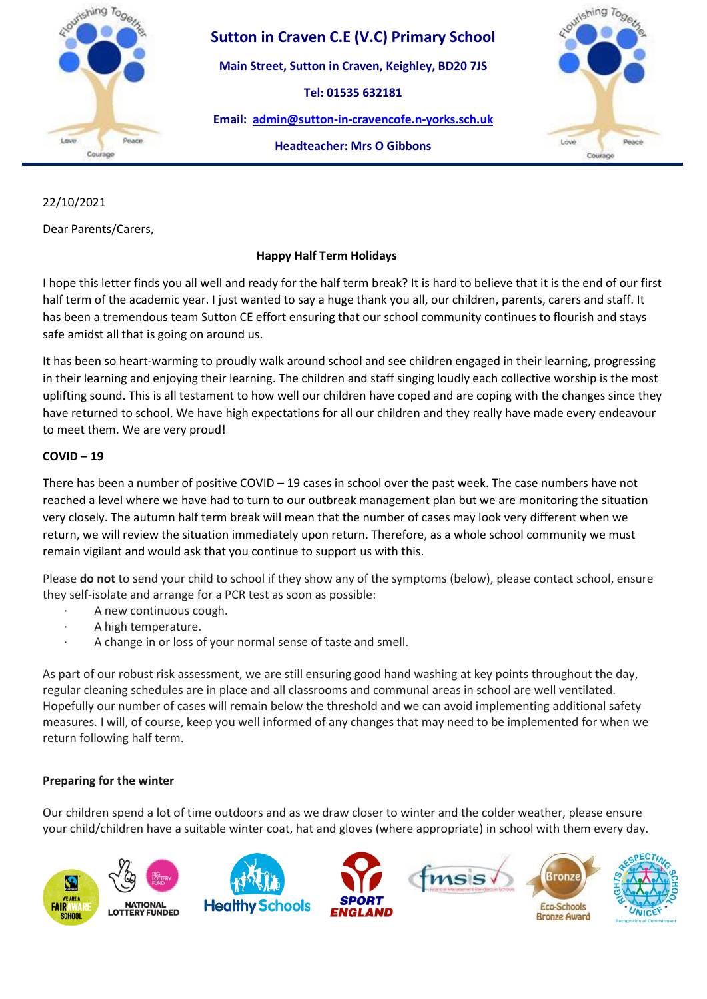

## **Sutton in Craven C.E (V.C) Primary School**

**Main Street, Sutton in Craven, Keighley, BD20 7JS**

**Tel: 01535 632181** 

**Email: [admin@sutton-in-cravencofe.n-yorks.sch.uk](mailto:admin@sutton-in-cravencofe.n-yorks.sch.uk)**

**Headteacher: Mrs O Gibbons**



# 22/10/2021

Dear Parents/Carers,

### **Happy Half Term Holidays**

I hope this letter finds you all well and ready for the half term break? It is hard to believe that it is the end of our first half term of the academic year. I just wanted to say a huge thank you all, our children, parents, carers and staff. It has been a tremendous team Sutton CE effort ensuring that our school community continues to flourish and stays safe amidst all that is going on around us.

It has been so heart-warming to proudly walk around school and see children engaged in their learning, progressing in their learning and enjoying their learning. The children and staff singing loudly each collective worship is the most uplifting sound. This is all testament to how well our children have coped and are coping with the changes since they have returned to school. We have high expectations for all our children and they really have made every endeavour to meet them. We are very proud!

#### **COVID – 19**

There has been a number of positive COVID – 19 cases in school over the past week. The case numbers have not reached a level where we have had to turn to our outbreak management plan but we are monitoring the situation very closely. The autumn half term break will mean that the number of cases may look very different when we return, we will review the situation immediately upon return. Therefore, as a whole school community we must remain vigilant and would ask that you continue to support us with this.

Please **do not** to send your child to school if they show any of the symptoms (below), please contact school, ensure they self-isolate and arrange for a PCR test as soon as possible:

- A new continuous cough.
- · A high temperature.
- A change in or loss of your normal sense of taste and smell.

As part of our robust risk assessment, we are still ensuring good hand washing at key points throughout the day, regular cleaning schedules are in place and all classrooms and communal areas in school are well ventilated. Hopefully our number of cases will remain below the threshold and we can avoid implementing additional safety measures. I will, of course, keep you well informed of any changes that may need to be implemented for when we return following half term.

### **Preparing for the winter**

Our children spend a lot of time outdoors and as we draw closer to winter and the colder weather, please ensure your child/children have a suitable winter coat, hat and gloves (where appropriate) in school with them every day.

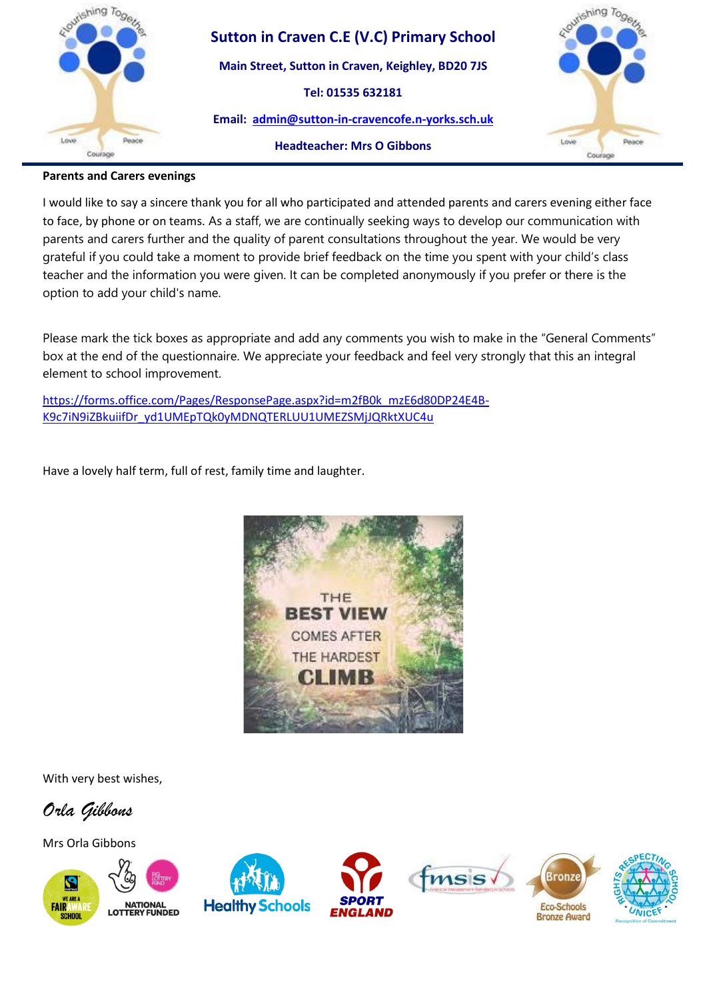

## **Sutton in Craven C.E (V.C) Primary School**

**Main Street, Sutton in Craven, Keighley, BD20 7JS**

**Tel: 01535 632181** 

**Email: [admin@sutton-in-cravencofe.n-yorks.sch.uk](mailto:admin@sutton-in-cravencofe.n-yorks.sch.uk)**



#### **Headteacher: Mrs O Gibbons**

#### **Parents and Carers evenings**

I would like to say a sincere thank you for all who participated and attended parents and carers evening either face to face, by phone or on teams. As a staff, we are continually seeking ways to develop our communication with parents and carers further and the quality of parent consultations throughout the year. We would be very grateful if you could take a moment to provide brief feedback on the time you spent with your child's class teacher and the information you were given. It can be completed anonymously if you prefer or there is the option to add your child's name.

Please mark the tick boxes as appropriate and add any comments you wish to make in the "General Comments" box at the end of the questionnaire. We appreciate your feedback and feel very strongly that this an integral element to school improvement.

[https://forms.office.com/Pages/ResponsePage.aspx?id=m2fB0k\\_mzE6d80DP24E4B-](https://forms.office.com/Pages/ResponsePage.aspx?id=m2fB0k_mzE6d80DP24E4B-K9c7iN9iZBkuiifDr_yd1UMEpTQk0yMDNQTERLUU1UMEZSMjJQRktXUC4u)[K9c7iN9iZBkuiifDr\\_yd1UMEpTQk0yMDNQTERLUU1UMEZSMjJQRktXUC4u](https://forms.office.com/Pages/ResponsePage.aspx?id=m2fB0k_mzE6d80DP24E4B-K9c7iN9iZBkuiifDr_yd1UMEpTQk0yMDNQTERLUU1UMEZSMjJQRktXUC4u)

Have a lovely half term, full of rest, family time and laughter.



With very best wishes,

*Orla Gibbons* 

Mrs Orla Gibbons